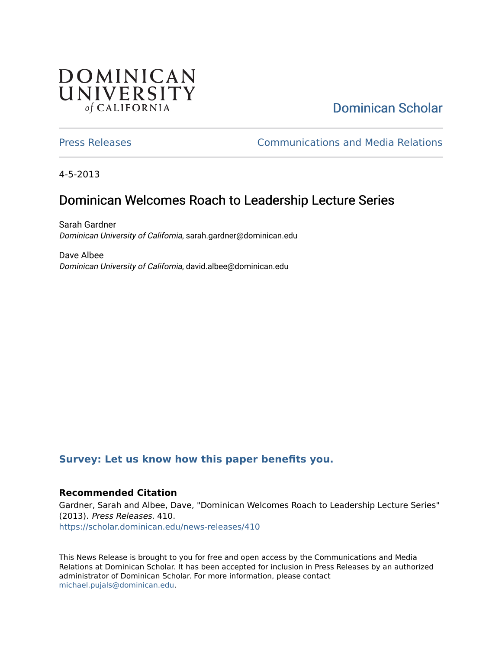## **DOMINICAN** UNIVERSITY of CALIFORNIA

# [Dominican Scholar](https://scholar.dominican.edu/)

[Press Releases](https://scholar.dominican.edu/news-releases) [Communications and Media Relations](https://scholar.dominican.edu/communications-media) 

4-5-2013

## Dominican Welcomes Roach to Leadership Lecture Series

Sarah Gardner Dominican University of California, sarah.gardner@dominican.edu

Dave Albee Dominican University of California, david.albee@dominican.edu

#### **[Survey: Let us know how this paper benefits you.](https://dominican.libwizard.com/dominican-scholar-feedback)**

#### **Recommended Citation**

Gardner, Sarah and Albee, Dave, "Dominican Welcomes Roach to Leadership Lecture Series" (2013). Press Releases. 410. [https://scholar.dominican.edu/news-releases/410](https://scholar.dominican.edu/news-releases/410?utm_source=scholar.dominican.edu%2Fnews-releases%2F410&utm_medium=PDF&utm_campaign=PDFCoverPages)

This News Release is brought to you for free and open access by the Communications and Media Relations at Dominican Scholar. It has been accepted for inclusion in Press Releases by an authorized administrator of Dominican Scholar. For more information, please contact [michael.pujals@dominican.edu.](mailto:michael.pujals@dominican.edu)